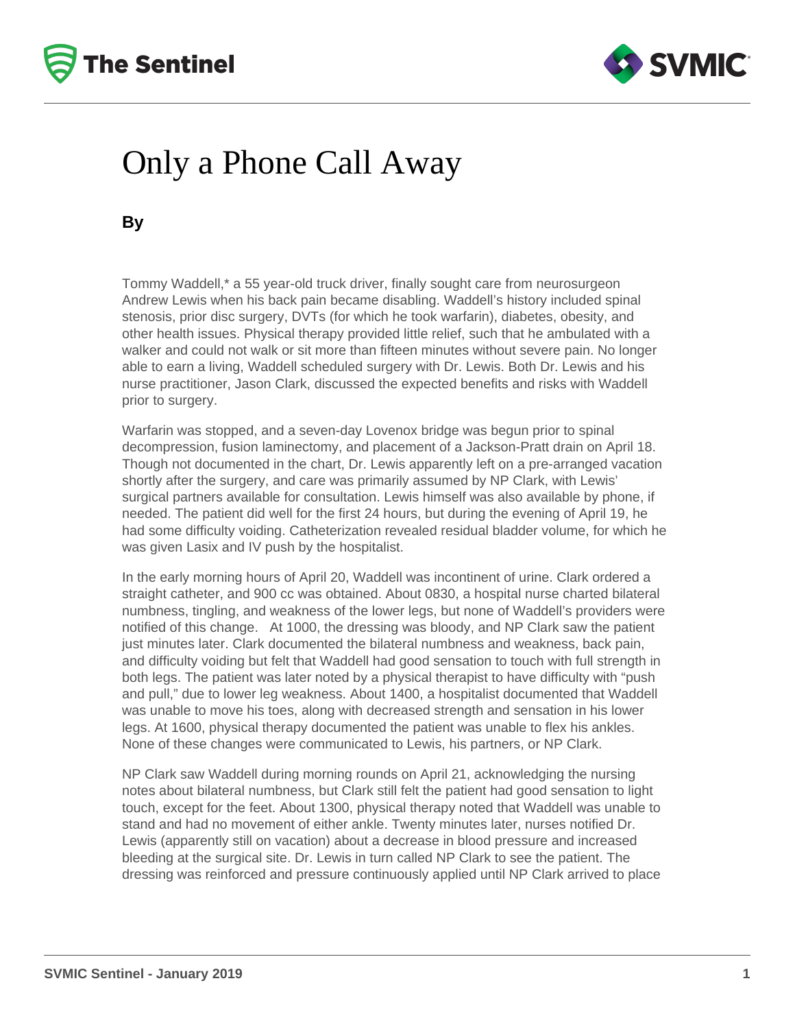



## Only a Phone Call Away

**By**

Tommy Waddell,\* a 55 year-old truck driver, finally sought care from neurosurgeon Andrew Lewis when his back pain became disabling. Waddell's history included spinal stenosis, prior disc surgery, DVTs (for which he took warfarin), diabetes, obesity, and other health issues. Physical therapy provided little relief, such that he ambulated with a walker and could not walk or sit more than fifteen minutes without severe pain. No longer able to earn a living, Waddell scheduled surgery with Dr. Lewis. Both Dr. Lewis and his nurse practitioner, Jason Clark, discussed the expected benefits and risks with Waddell prior to surgery.

Warfarin was stopped, and a seven-day Lovenox bridge was begun prior to spinal decompression, fusion laminectomy, and placement of a Jackson-Pratt drain on April 18. Though not documented in the chart, Dr. Lewis apparently left on a pre-arranged vacation shortly after the surgery, and care was primarily assumed by NP Clark, with Lewis' surgical partners available for consultation. Lewis himself was also available by phone, if needed. The patient did well for the first 24 hours, but during the evening of April 19, he had some difficulty voiding. Catheterization revealed residual bladder volume, for which he was given Lasix and IV push by the hospitalist.

In the early morning hours of April 20, Waddell was incontinent of urine. Clark ordered a straight catheter, and 900 cc was obtained. About 0830, a hospital nurse charted bilateral numbness, tingling, and weakness of the lower legs, but none of Waddell's providers were notified of this change. At 1000, the dressing was bloody, and NP Clark saw the patient just minutes later. Clark documented the bilateral numbness and weakness, back pain, and difficulty voiding but felt that Waddell had good sensation to touch with full strength in both legs. The patient was later noted by a physical therapist to have difficulty with "push and pull," due to lower leg weakness. About 1400, a hospitalist documented that Waddell was unable to move his toes, along with decreased strength and sensation in his lower legs. At 1600, physical therapy documented the patient was unable to flex his ankles. None of these changes were communicated to Lewis, his partners, or NP Clark.

NP Clark saw Waddell during morning rounds on April 21, acknowledging the nursing notes about bilateral numbness, but Clark still felt the patient had good sensation to light touch, except for the feet. About 1300, physical therapy noted that Waddell was unable to stand and had no movement of either ankle. Twenty minutes later, nurses notified Dr. Lewis (apparently still on vacation) about a decrease in blood pressure and increased bleeding at the surgical site. Dr. Lewis in turn called NP Clark to see the patient. The dressing was reinforced and pressure continuously applied until NP Clark arrived to place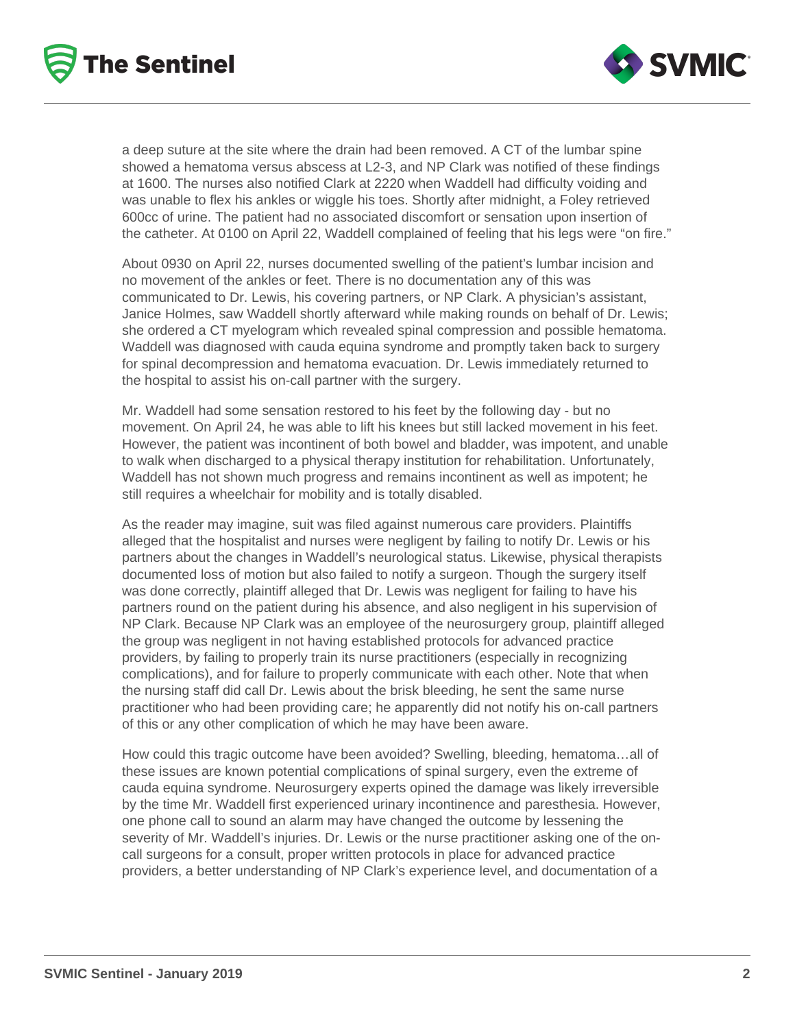



a deep suture at the site where the drain had been removed. A CT of the lumbar spine showed a hematoma versus abscess at L2-3, and NP Clark was notified of these findings at 1600. The nurses also notified Clark at 2220 when Waddell had difficulty voiding and was unable to flex his ankles or wiggle his toes. Shortly after midnight, a Foley retrieved 600cc of urine. The patient had no associated discomfort or sensation upon insertion of the catheter. At 0100 on April 22, Waddell complained of feeling that his legs were "on fire."

About 0930 on April 22, nurses documented swelling of the patient's lumbar incision and no movement of the ankles or feet. There is no documentation any of this was communicated to Dr. Lewis, his covering partners, or NP Clark. A physician's assistant, Janice Holmes, saw Waddell shortly afterward while making rounds on behalf of Dr. Lewis; she ordered a CT myelogram which revealed spinal compression and possible hematoma. Waddell was diagnosed with cauda equina syndrome and promptly taken back to surgery for spinal decompression and hematoma evacuation. Dr. Lewis immediately returned to the hospital to assist his on-call partner with the surgery.

Mr. Waddell had some sensation restored to his feet by the following day - but no movement. On April 24, he was able to lift his knees but still lacked movement in his feet. However, the patient was incontinent of both bowel and bladder, was impotent, and unable to walk when discharged to a physical therapy institution for rehabilitation. Unfortunately, Waddell has not shown much progress and remains incontinent as well as impotent; he still requires a wheelchair for mobility and is totally disabled.

As the reader may imagine, suit was filed against numerous care providers. Plaintiffs alleged that the hospitalist and nurses were negligent by failing to notify Dr. Lewis or his partners about the changes in Waddell's neurological status. Likewise, physical therapists documented loss of motion but also failed to notify a surgeon. Though the surgery itself was done correctly, plaintiff alleged that Dr. Lewis was negligent for failing to have his partners round on the patient during his absence, and also negligent in his supervision of NP Clark. Because NP Clark was an employee of the neurosurgery group, plaintiff alleged the group was negligent in not having established protocols for advanced practice providers, by failing to properly train its nurse practitioners (especially in recognizing complications), and for failure to properly communicate with each other. Note that when the nursing staff did call Dr. Lewis about the brisk bleeding, he sent the same nurse practitioner who had been providing care; he apparently did not notify his on-call partners of this or any other complication of which he may have been aware.

How could this tragic outcome have been avoided? Swelling, bleeding, hematoma…all of these issues are known potential complications of spinal surgery, even the extreme of cauda equina syndrome. Neurosurgery experts opined the damage was likely irreversible by the time Mr. Waddell first experienced urinary incontinence and paresthesia. However, one phone call to sound an alarm may have changed the outcome by lessening the severity of Mr. Waddell's injuries. Dr. Lewis or the nurse practitioner asking one of the oncall surgeons for a consult, proper written protocols in place for advanced practice providers, a better understanding of NP Clark's experience level, and documentation of a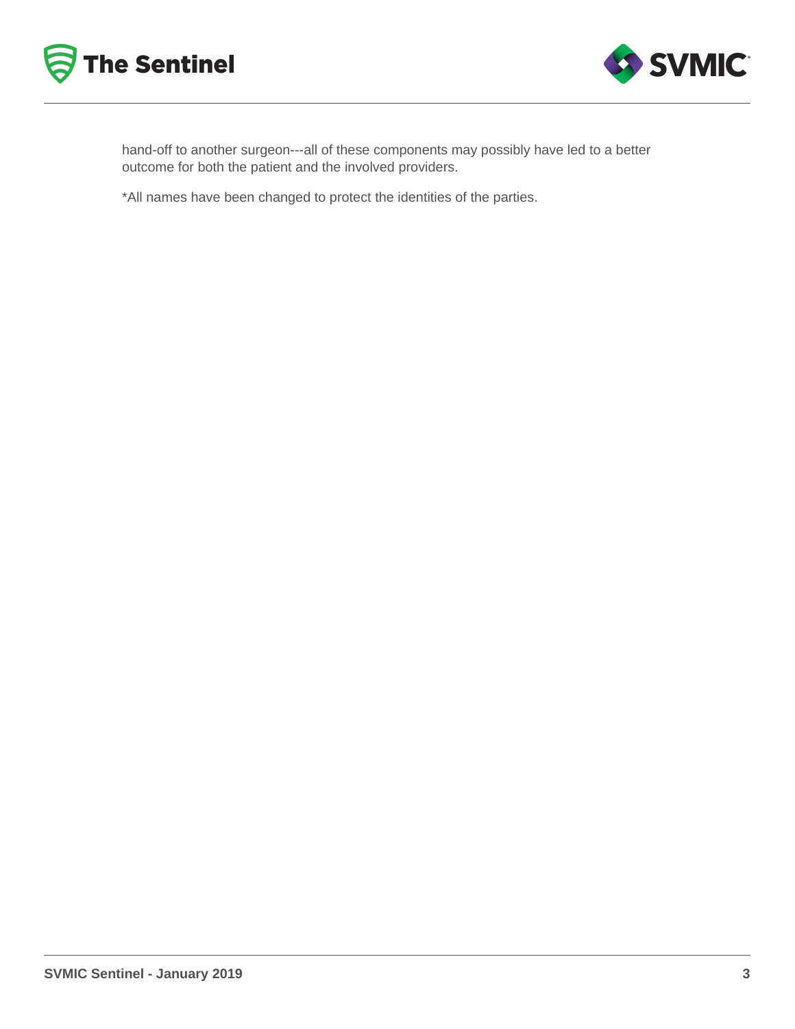



hand-off to another surgeon---all of these components may possibly have led to a better outcome for both the patient and the involved providers.

\*All names have been changed to protect the identities of the parties.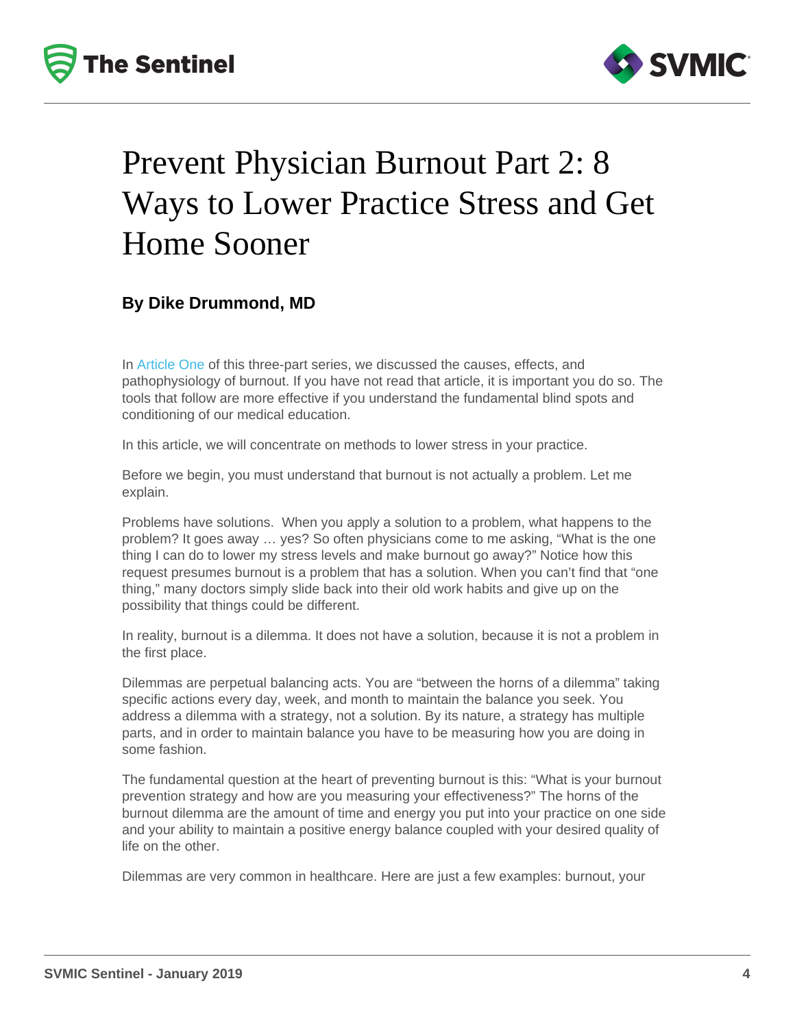# Prevent Physician Burnout Part 2: 8 Ways to Lower Practice Stress and Get Home Sooner

By Dike Drummond, MD

In [Article One](/resources/newsletters/169/the-five-main-causes-of-physician-burnout) of this three-part series, we discussed the causes, effects, and pathophysiology of burnout. If you have not read that article, it is important you do so. The tools that follow are more effective if you understand the fundamental blind spots and conditioning of our medical education.

In this article, we will concentrate on methods to lower stress in your practice.

Before we begin, you must understand that burnout is not actually a problem. Let me explain.

Problems have solutions. When you apply a solution to a problem, what happens to the problem? It goes away … yes? So often physicians come to me asking, "What is the one thing I can do to lower my stress levels and make burnout go away?" Notice how this request presumes burnout is a problem that has a solution. When you can't find that "one thing," many doctors simply slide back into their old work habits and give up on the possibility that things could be different.

In reality, burnout is a dilemma. It does not have a solution, because it is not a problem in the first place.

Dilemmas are perpetual balancing acts. You are "between the horns of a dilemma" taking specific actions every day, week, and month to maintain the balance you seek. You address a dilemma with a strategy, not a solution. By its nature, a strategy has multiple parts, and in order to maintain balance you have to be measuring how you are doing in some fashion.

The fundamental question at the heart of preventing burnout is this: "What is your burnout prevention strategy and how are you measuring your effectiveness?" The horns of the burnout dilemma are the amount of time and energy you put into your practice on one side and your ability to maintain a positive energy balance coupled with your desired quality of life on the other.

Dilemmas are very common in healthcare. Here are just a few examples: burnout, your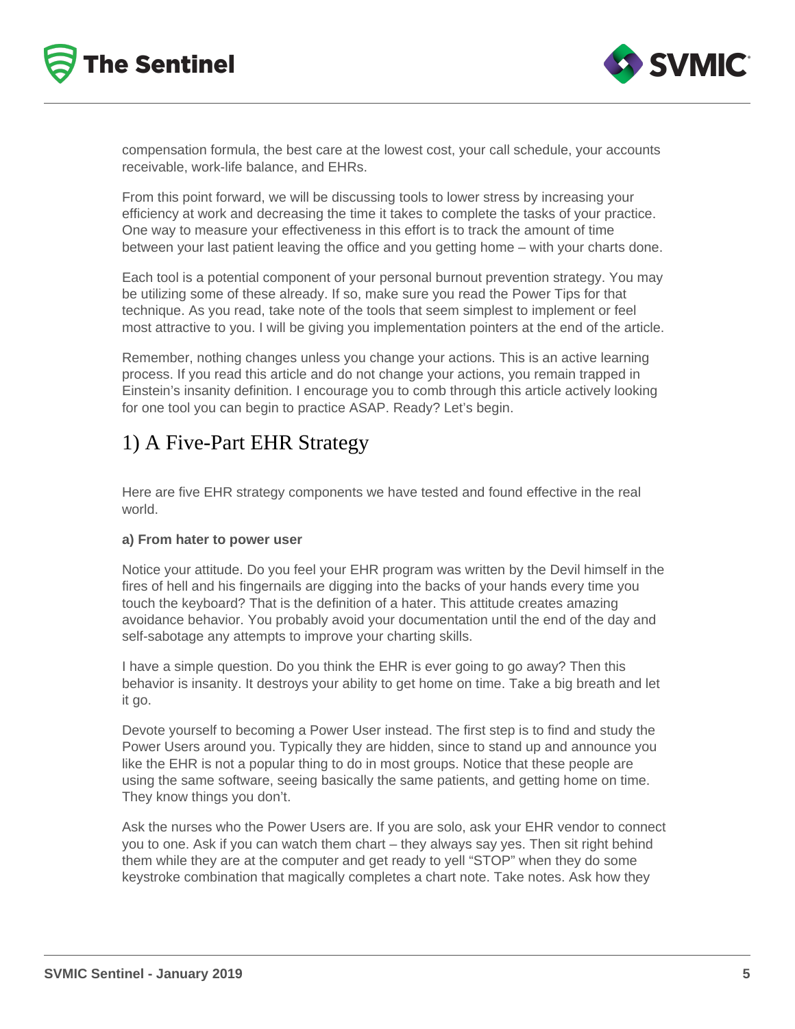



compensation formula, the best care at the lowest cost, your call schedule, your accounts receivable, work-life balance, and EHRs.

From this point forward, we will be discussing tools to lower stress by increasing your efficiency at work and decreasing the time it takes to complete the tasks of your practice. One way to measure your effectiveness in this effort is to track the amount of time between your last patient leaving the office and you getting home – with your charts done.

Each tool is a potential component of your personal burnout prevention strategy. You may be utilizing some of these already. If so, make sure you read the Power Tips for that technique. As you read, take note of the tools that seem simplest to implement or feel most attractive to you. I will be giving you implementation pointers at the end of the article.

Remember, nothing changes unless you change your actions. This is an active learning process. If you read this article and do not change your actions, you remain trapped in Einstein's insanity definition. I encourage you to comb through this article actively looking for one tool you can begin to practice ASAP. Ready? Let's begin.

## 1) A Five-Part EHR Strategy

Here are five EHR strategy components we have tested and found effective in the real world.

#### **a) From hater to power user**

Notice your attitude. Do you feel your EHR program was written by the Devil himself in the fires of hell and his fingernails are digging into the backs of your hands every time you touch the keyboard? That is the definition of a hater. This attitude creates amazing avoidance behavior. You probably avoid your documentation until the end of the day and self-sabotage any attempts to improve your charting skills.

I have a simple question. Do you think the EHR is ever going to go away? Then this behavior is insanity. It destroys your ability to get home on time. Take a big breath and let it go.

Devote yourself to becoming a Power User instead. The first step is to find and study the Power Users around you. Typically they are hidden, since to stand up and announce you like the EHR is not a popular thing to do in most groups. Notice that these people are using the same software, seeing basically the same patients, and getting home on time. They know things you don't.

Ask the nurses who the Power Users are. If you are solo, ask your EHR vendor to connect you to one. Ask if you can watch them chart – they always say yes. Then sit right behind them while they are at the computer and get ready to yell "STOP" when they do some keystroke combination that magically completes a chart note. Take notes. Ask how they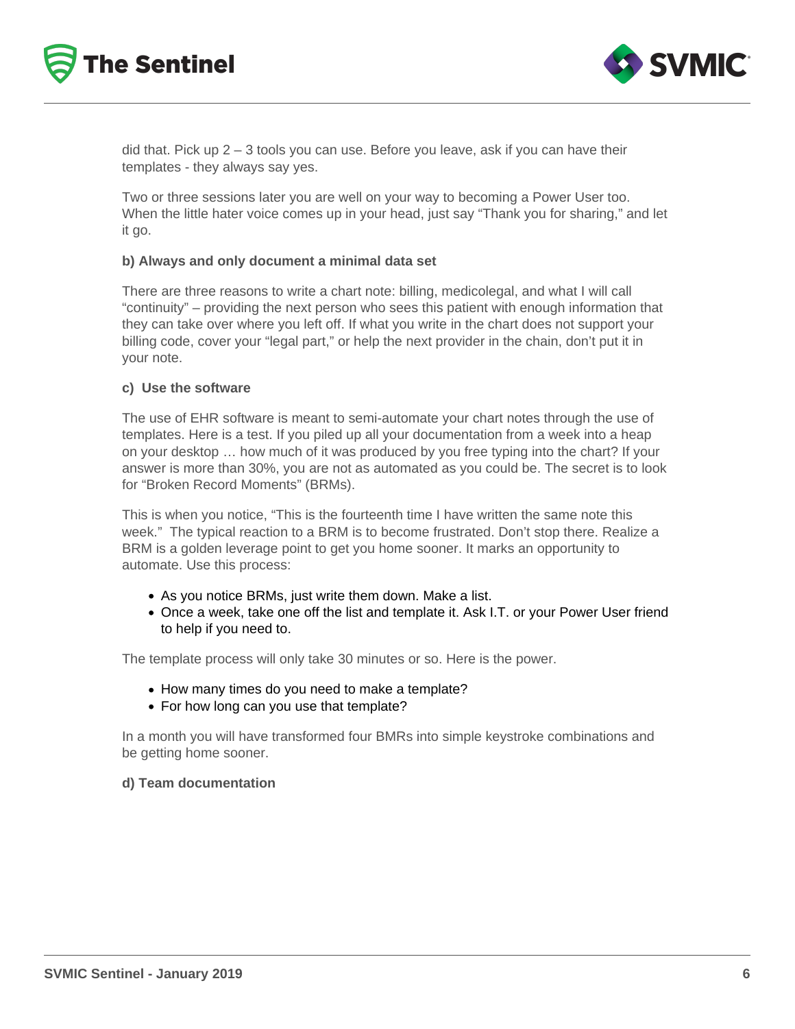



did that. Pick up  $2 - 3$  tools you can use. Before you leave, ask if you can have their templates - they always say yes.

Two or three sessions later you are well on your way to becoming a Power User too. When the little hater voice comes up in your head, just say "Thank you for sharing," and let it go.

#### **b) Always and only document a minimal data set**

There are three reasons to write a chart note: billing, medicolegal, and what I will call "continuity" – providing the next person who sees this patient with enough information that they can take over where you left off. If what you write in the chart does not support your billing code, cover your "legal part," or help the next provider in the chain, don't put it in your note.

#### **c) Use the software**

The use of EHR software is meant to semi-automate your chart notes through the use of templates. Here is a test. If you piled up all your documentation from a week into a heap on your desktop … how much of it was produced by you free typing into the chart? If your answer is more than 30%, you are not as automated as you could be. The secret is to look for "Broken Record Moments" (BRMs).

This is when you notice, "This is the fourteenth time I have written the same note this week." The typical reaction to a BRM is to become frustrated. Don't stop there. Realize a BRM is a golden leverage point to get you home sooner. It marks an opportunity to automate. Use this process:

- As you notice BRMs, just write them down. Make a list.
- Once a week, take one off the list and template it. Ask I.T. or your Power User friend to help if you need to.

The template process will only take 30 minutes or so. Here is the power.

- How many times do you need to make a template?
- For how long can you use that template?

In a month you will have transformed four BMRs into simple keystroke combinations and be getting home sooner.

#### **d) Team documentation**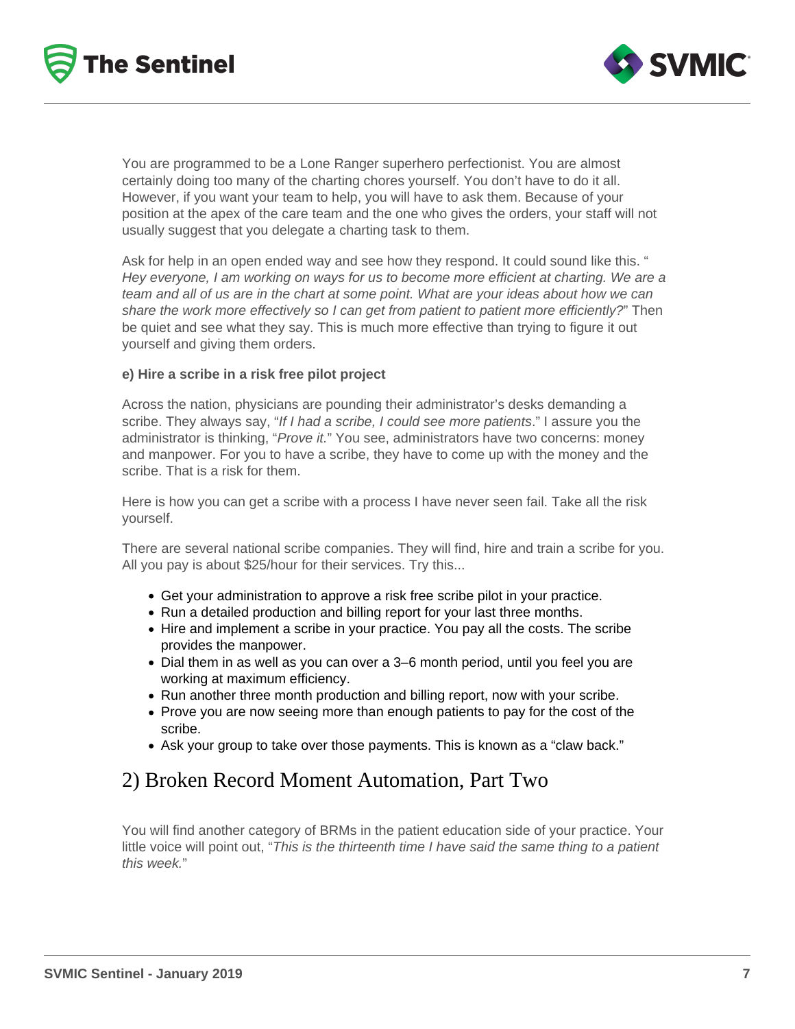



You are programmed to be a Lone Ranger superhero perfectionist. You are almost certainly doing too many of the charting chores yourself. You don't have to do it all. However, if you want your team to help, you will have to ask them. Because of your position at the apex of the care team and the one who gives the orders, your staff will not usually suggest that you delegate a charting task to them.

Ask for help in an open ended way and see how they respond. It could sound like this. " Hey everyone, I am working on ways for us to become more efficient at charting. We are a team and all of us are in the chart at some point. What are your ideas about how we can share the work more effectively so I can get from patient to patient more efficiently?" Then be quiet and see what they say. This is much more effective than trying to figure it out yourself and giving them orders.

#### **e) Hire a scribe in a risk free pilot project**

Across the nation, physicians are pounding their administrator's desks demanding a scribe. They always say, "If I had a scribe, I could see more patients." I assure you the administrator is thinking, "Prove it." You see, administrators have two concerns: money and manpower. For you to have a scribe, they have to come up with the money and the scribe. That is a risk for them.

Here is how you can get a scribe with a process I have never seen fail. Take all the risk yourself.

There are several national scribe companies. They will find, hire and train a scribe for you. All you pay is about \$25/hour for their services. Try this...

- Get your administration to approve a risk free scribe pilot in your practice.
- Run a detailed production and billing report for your last three months.
- Hire and implement a scribe in your practice. You pay all the costs. The scribe provides the manpower.
- Dial them in as well as you can over a 3–6 month period, until you feel you are working at maximum efficiency.
- Run another three month production and billing report, now with your scribe.
- Prove you are now seeing more than enough patients to pay for the cost of the scribe.
- Ask your group to take over those payments. This is known as a "claw back."

## 2) Broken Record Moment Automation, Part Two

You will find another category of BRMs in the patient education side of your practice. Your little voice will point out, "This is the thirteenth time I have said the same thing to a patient this week."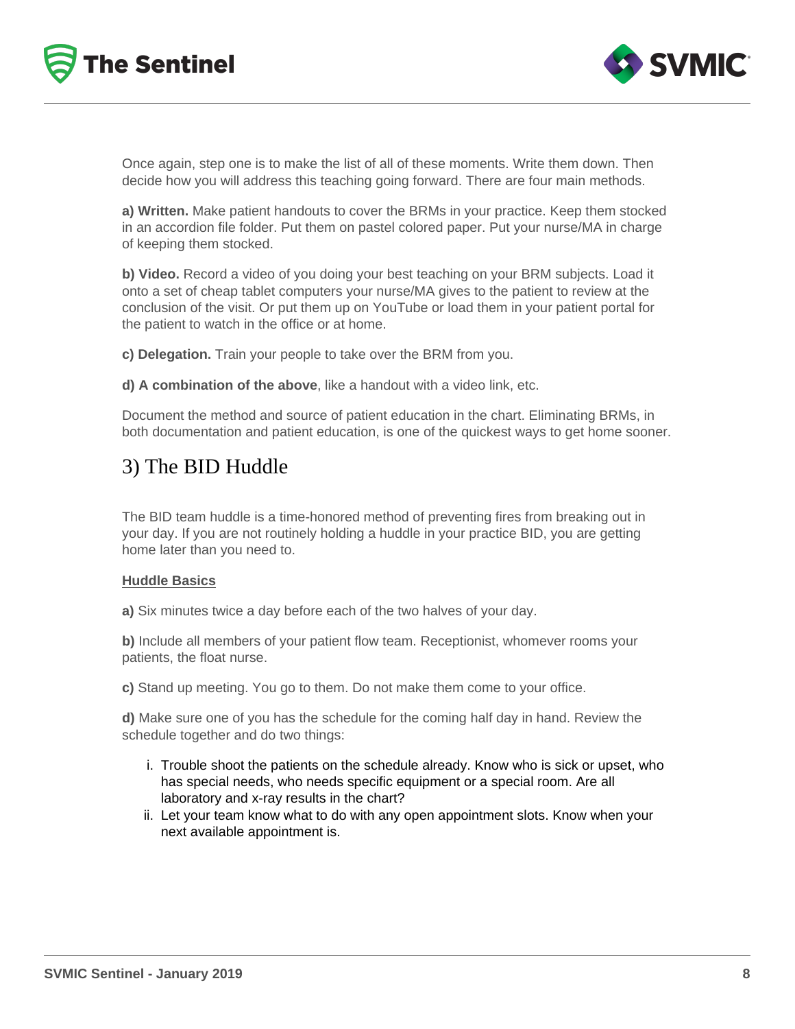



Once again, step one is to make the list of all of these moments. Write them down. Then decide how you will address this teaching going forward. There are four main methods.

**a) Written.** Make patient handouts to cover the BRMs in your practice. Keep them stocked in an accordion file folder. Put them on pastel colored paper. Put your nurse/MA in charge of keeping them stocked.

**b) Video.** Record a video of you doing your best teaching on your BRM subjects. Load it onto a set of cheap tablet computers your nurse/MA gives to the patient to review at the conclusion of the visit. Or put them up on YouTube or load them in your patient portal for the patient to watch in the office or at home.

**c) Delegation.** Train your people to take over the BRM from you.

**d) A combination of the above**, like a handout with a video link, etc.

Document the method and source of patient education in the chart. Eliminating BRMs, in both documentation and patient education, is one of the quickest ways to get home sooner.

### 3) The BID Huddle

The BID team huddle is a time-honored method of preventing fires from breaking out in your day. If you are not routinely holding a huddle in your practice BID, you are getting home later than you need to.

#### **Huddle Basics**

**a)** Six minutes twice a day before each of the two halves of your day.

**b)** Include all members of your patient flow team. Receptionist, whomever rooms your patients, the float nurse.

**c)** Stand up meeting. You go to them. Do not make them come to your office.

**d)** Make sure one of you has the schedule for the coming half day in hand. Review the schedule together and do two things:

- i. Trouble shoot the patients on the schedule already. Know who is sick or upset, who has special needs, who needs specific equipment or a special room. Are all laboratory and x-ray results in the chart?
- ii. Let your team know what to do with any open appointment slots. Know when your next available appointment is.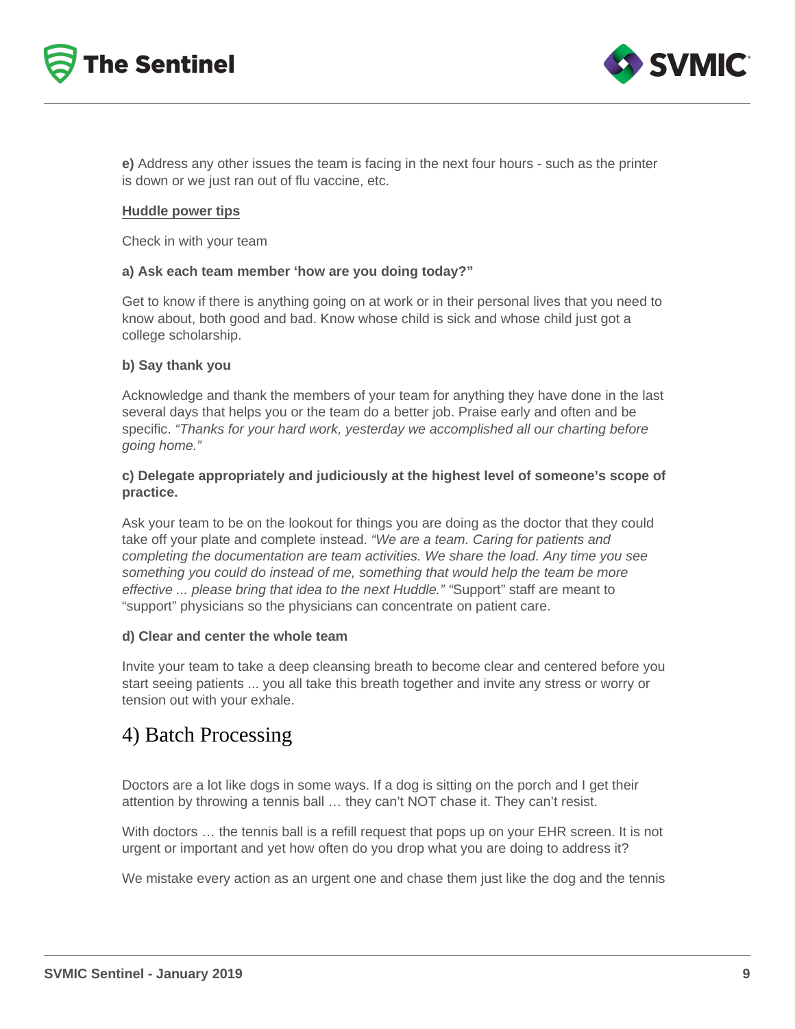



**e)** Address any other issues the team is facing in the next four hours - such as the printer is down or we just ran out of flu vaccine, etc.

#### **Huddle power tips**

Check in with your team

#### **a) Ask each team member 'how are you doing today?"**

Get to know if there is anything going on at work or in their personal lives that you need to know about, both good and bad. Know whose child is sick and whose child just got a college scholarship.

#### **b) Say thank you**

Acknowledge and thank the members of your team for anything they have done in the last several days that helps you or the team do a better job. Praise early and often and be specific. "Thanks for your hard work, yesterday we accomplished all our charting before going home."

#### **c) Delegate appropriately and judiciously at the highest level of someone's scope of practice.**

Ask your team to be on the lookout for things you are doing as the doctor that they could take off your plate and complete instead. "We are a team. Caring for patients and completing the documentation are team activities. We share the load. Any time you see something you could do instead of me, something that would help the team be more effective ... please bring that idea to the next Huddle." "Support" staff are meant to "support" physicians so the physicians can concentrate on patient care.

#### **d) Clear and center the whole team**

Invite your team to take a deep cleansing breath to become clear and centered before you start seeing patients ... you all take this breath together and invite any stress or worry or tension out with your exhale.

### 4) Batch Processing

Doctors are a lot like dogs in some ways. If a dog is sitting on the porch and I get their attention by throwing a tennis ball … they can't NOT chase it. They can't resist.

With doctors … the tennis ball is a refill request that pops up on your EHR screen. It is not urgent or important and yet how often do you drop what you are doing to address it?

We mistake every action as an urgent one and chase them just like the dog and the tennis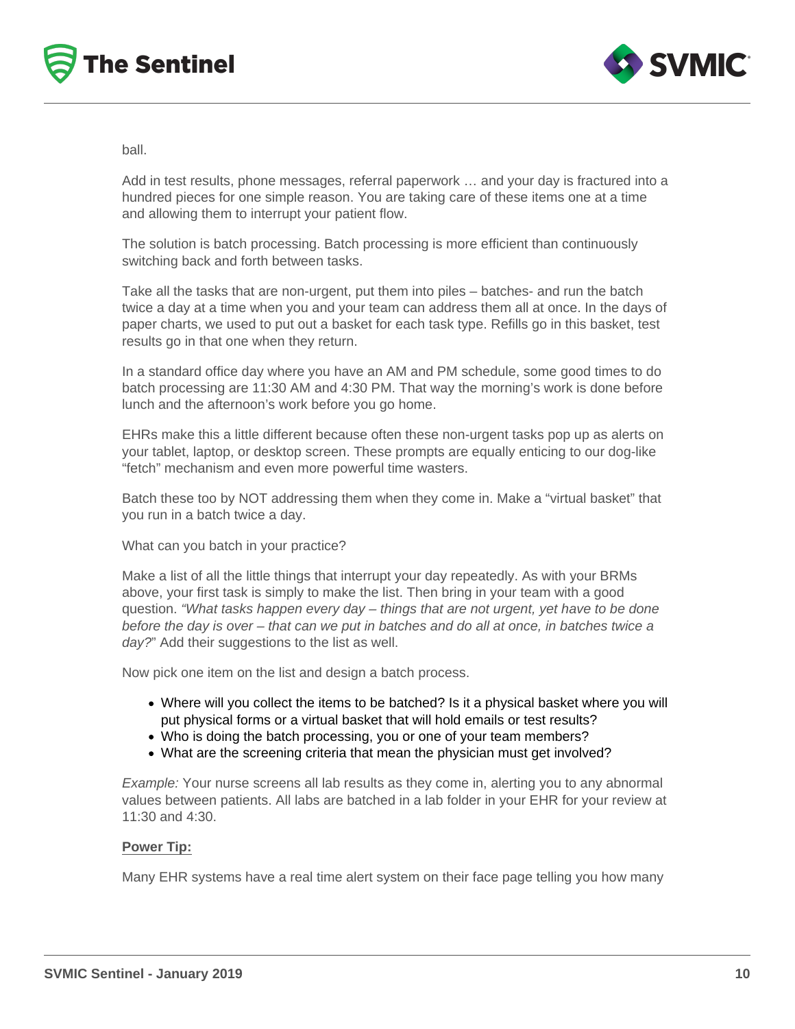



ball.

Add in test results, phone messages, referral paperwork … and your day is fractured into a hundred pieces for one simple reason. You are taking care of these items one at a time and allowing them to interrupt your patient flow.

The solution is batch processing. Batch processing is more efficient than continuously switching back and forth between tasks.

Take all the tasks that are non-urgent, put them into piles – batches- and run the batch twice a day at a time when you and your team can address them all at once. In the days of paper charts, we used to put out a basket for each task type. Refills go in this basket, test results go in that one when they return.

In a standard office day where you have an AM and PM schedule, some good times to do batch processing are 11:30 AM and 4:30 PM. That way the morning's work is done before lunch and the afternoon's work before you go home.

EHRs make this a little different because often these non-urgent tasks pop up as alerts on your tablet, laptop, or desktop screen. These prompts are equally enticing to our dog-like "fetch" mechanism and even more powerful time wasters.

Batch these too by NOT addressing them when they come in. Make a "virtual basket" that you run in a batch twice a day.

What can you batch in your practice?

Make a list of all the little things that interrupt your day repeatedly. As with your BRMs above, your first task is simply to make the list. Then bring in your team with a good question. "What tasks happen every day – things that are not urgent, yet have to be done before the day is over – that can we put in batches and do all at once, in batches twice a day?" Add their suggestions to the list as well.

Now pick one item on the list and design a batch process.

- Where will you collect the items to be batched? Is it a physical basket where you will put physical forms or a virtual basket that will hold emails or test results?
- Who is doing the batch processing, you or one of your team members?
- What are the screening criteria that mean the physician must get involved?

Example: Your nurse screens all lab results as they come in, alerting you to any abnormal values between patients. All labs are batched in a lab folder in your EHR for your review at 11:30 and 4:30.

#### **Power Tip:**

Many EHR systems have a real time alert system on their face page telling you how many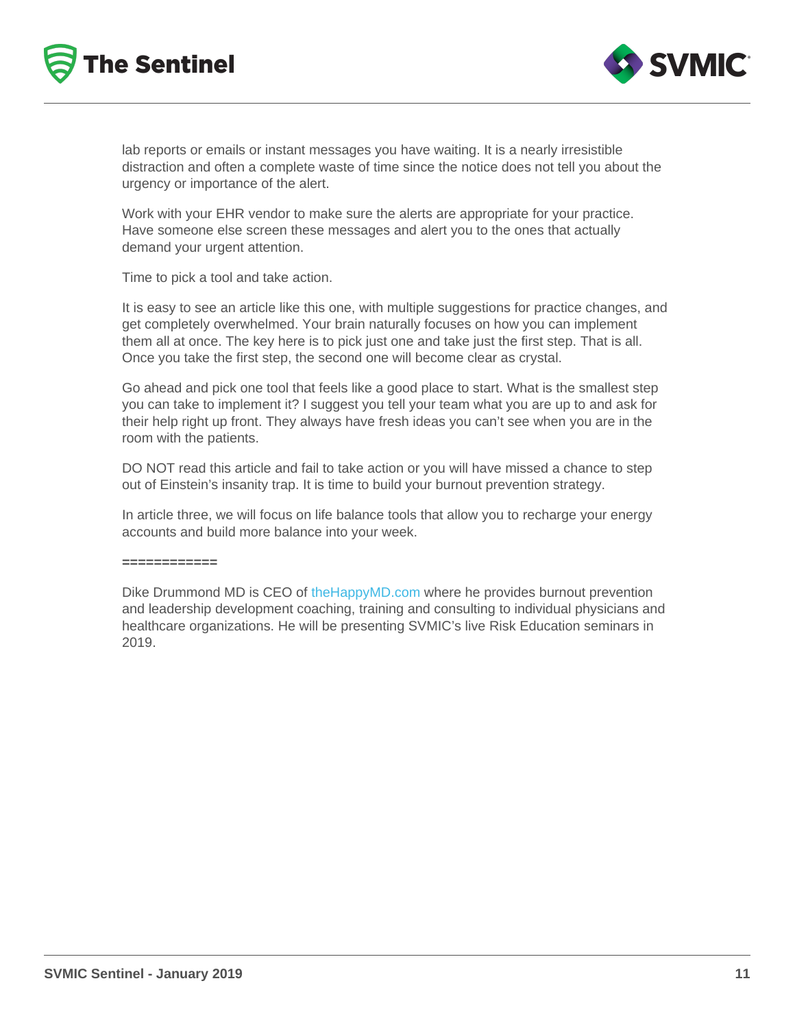lab reports or emails or instant messages you have waiting. It is a nearly irresistible distraction and often a complete waste of time since the notice does not tell you about the urgency or importance of the alert.

Work with your EHR vendor to make sure the alerts are appropriate for your practice. Have someone else screen these messages and alert you to the ones that actually demand your urgent attention.

Time to pick a tool and take action.

It is easy to see an article like this one, with multiple suggestions for practice changes, and get completely overwhelmed. Your brain naturally focuses on how you can implement them all at once. The key here is to pick just one and take just the first step. That is all. Once you take the first step, the second one will become clear as crystal.

Go ahead and pick one tool that feels like a good place to start. What is the smallest step you can take to implement it? I suggest you tell your team what you are up to and ask for their help right up front. They always have fresh ideas you can't see when you are in the room with the patients.

DO NOT read this article and fail to take action or you will have missed a chance to step out of Einstein's insanity trap. It is time to build your burnout prevention strategy.

In article three, we will focus on life balance tools that allow you to recharge your energy accounts and build more balance into your week.

============

Dike Drummond MD is CEO of [theHappyMD.com](http://www.thehappymd.com/) where he provides burnout prevention and leadership development coaching, training and consulting to individual physicians and healthcare organizations. He will be presenting SVMIC's live Risk Education seminars in 2019.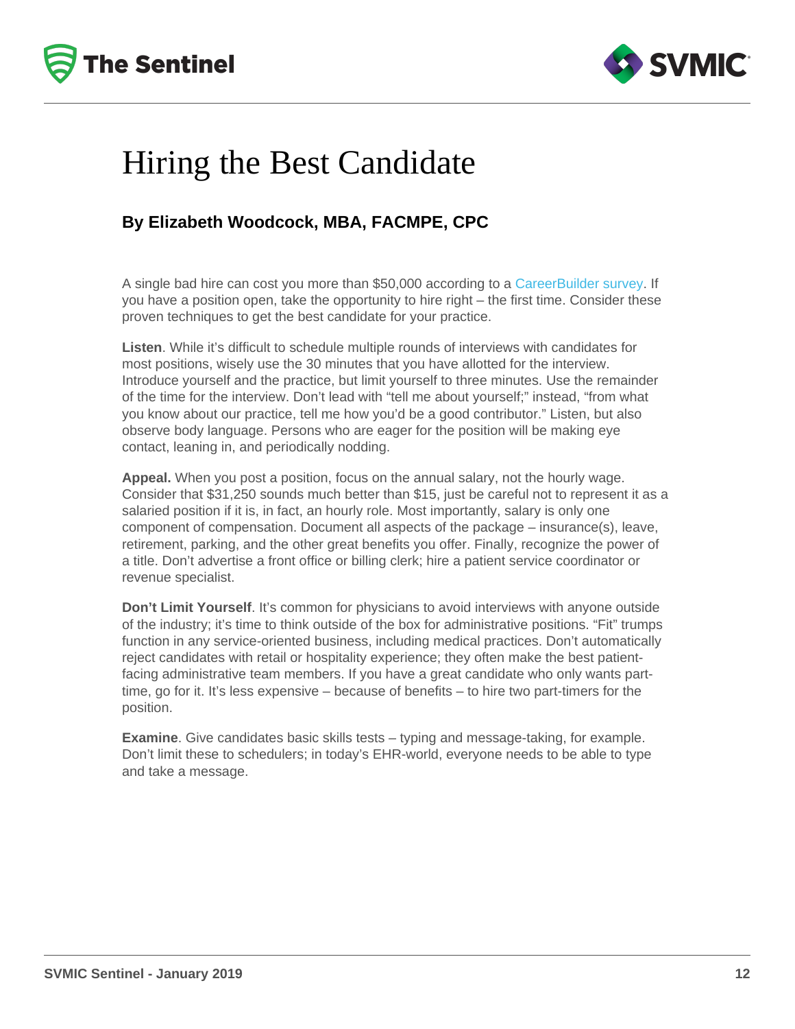# Hiring the Best Candidate

### By Elizabeth Woodcock, MBA, FACMPE, CPC

A single bad hire can cost you more than \$50,000 according to a [CareerBuilder survey.](http://www.careerbuilder.com/share/aboutus/pressreleasesdetail.aspx?sd=5/8/2013&siteid=cbpr&sc_cmp1=cb_pr757_&id=pr757&ed=12/31/2013) If you have a position open, take the opportunity to hire right – the first time. Consider these proven techniques to get the best candidate for your practice.

Listen . While it's difficult to schedule multiple rounds of interviews with candidates for most positions, wisely use the 30 minutes that you have allotted for the interview. Introduce yourself and the practice, but limit yourself to three minutes. Use the remainder of the time for the interview. Don't lead with "tell me about yourself;" instead, "from what you know about our practice, tell me how you'd be a good contributor." Listen, but also observe body language. Persons who are eager for the position will be making eye contact, leaning in, and periodically nodding.

Appeal. When you post a position, focus on the annual salary, not the hourly wage. Consider that \$31,250 sounds much better than \$15, just be careful not to represent it as a salaried position if it is, in fact, an hourly role. Most importantly, salary is only one component of compensation. Document all aspects of the package – insurance(s), leave, retirement, parking, and the other great benefits you offer. Finally, recognize the power of a title. Don't advertise a front office or billing clerk; hire a patient service coordinator or revenue specialist.

Don't Limit Yourself . It's common for physicians to avoid interviews with anyone outside of the industry; it's time to think outside of the box for administrative positions. "Fit" trumps function in any service-oriented business, including medical practices. Don't automatically reject candidates with retail or hospitality experience; they often make the best patientfacing administrative team members. If you have a great candidate who only wants parttime, go for it. It's less expensive – because of benefits – to hire two part-timers for the position.

Examine . Give candidates basic skills tests – typing and message-taking, for example. Don't limit these to schedulers; in today's EHR-world, everyone needs to be able to type and take a message.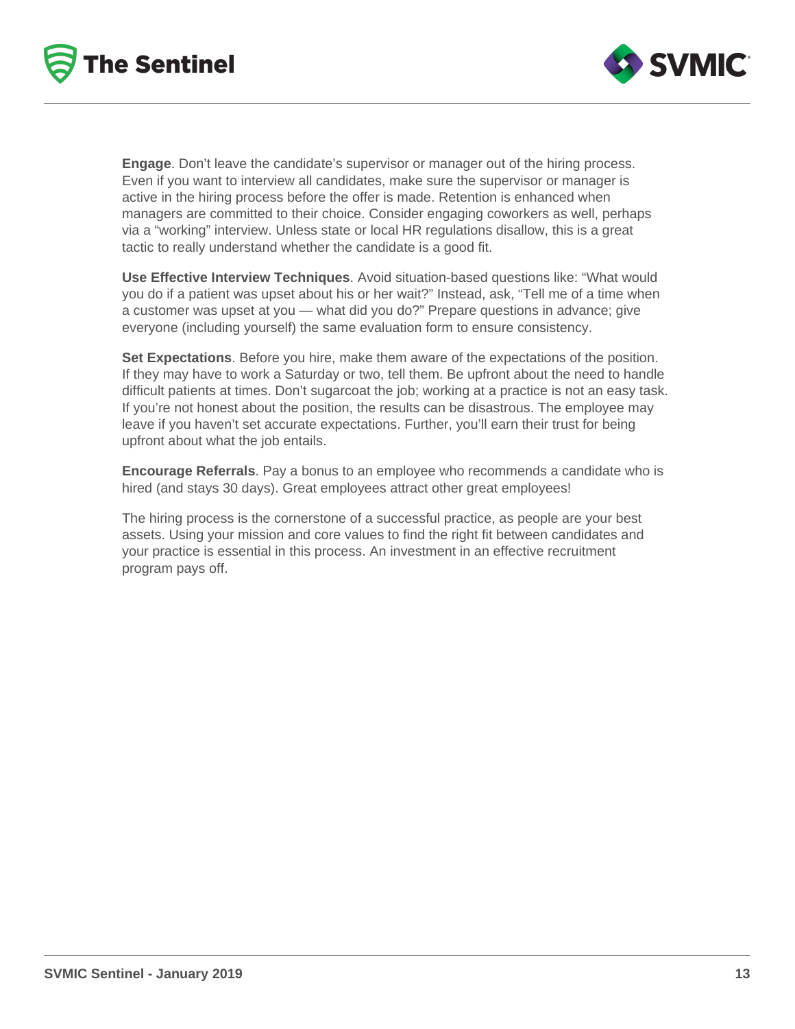



**Engage**. Don't leave the candidate's supervisor or manager out of the hiring process. Even if you want to interview all candidates, make sure the supervisor or manager is active in the hiring process before the offer is made. Retention is enhanced when managers are committed to their choice. Consider engaging coworkers as well, perhaps via a "working" interview. Unless state or local HR regulations disallow, this is a great tactic to really understand whether the candidate is a good fit.

**Use Effective Interview Techniques**. Avoid situation-based questions like: "What would you do if a patient was upset about his or her wait?" Instead, ask, "Tell me of a time when a customer was upset at you — what did you do?" Prepare questions in advance; give everyone (including yourself) the same evaluation form to ensure consistency.

**Set Expectations**. Before you hire, make them aware of the expectations of the position. If they may have to work a Saturday or two, tell them. Be upfront about the need to handle difficult patients at times. Don't sugarcoat the job; working at a practice is not an easy task. If you're not honest about the position, the results can be disastrous. The employee may leave if you haven't set accurate expectations. Further, you'll earn their trust for being upfront about what the job entails.

**Encourage Referrals**. Pay a bonus to an employee who recommends a candidate who is hired (and stays 30 days). Great employees attract other great employees!

The hiring process is the cornerstone of a successful practice, as people are your best assets. Using your mission and core values to find the right fit between candidates and your practice is essential in this process. An investment in an effective recruitment program pays off.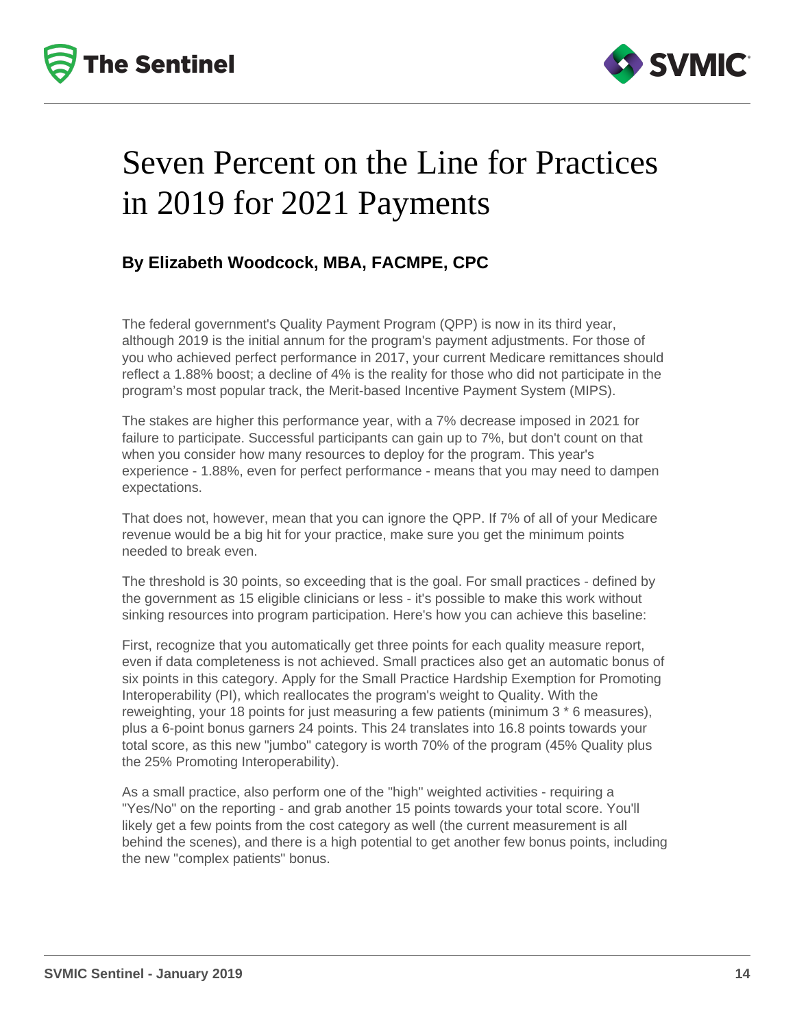



## Seven Percent on the Line for Practices in 2019 for 2021 Payments

### **By Elizabeth Woodcock, MBA, FACMPE, CPC**

The federal government's Quality Payment Program (QPP) is now in its third year, although 2019 is the initial annum for the program's payment adjustments. For those of you who achieved perfect performance in 2017, your current Medicare remittances should reflect a 1.88% boost; a decline of 4% is the reality for those who did not participate in the program's most popular track, the Merit-based Incentive Payment System (MIPS).

The stakes are higher this performance year, with a 7% decrease imposed in 2021 for failure to participate. Successful participants can gain up to 7%, but don't count on that when you consider how many resources to deploy for the program. This year's experience - 1.88%, even for perfect performance - means that you may need to dampen expectations.

That does not, however, mean that you can ignore the QPP. If 7% of all of your Medicare revenue would be a big hit for your practice, make sure you get the minimum points needed to break even.

The threshold is 30 points, so exceeding that is the goal. For small practices - defined by the government as 15 eligible clinicians or less - it's possible to make this work without sinking resources into program participation. Here's how you can achieve this baseline:

First, recognize that you automatically get three points for each quality measure report, even if data completeness is not achieved. Small practices also get an automatic bonus of six points in this category. Apply for the Small Practice Hardship Exemption for Promoting Interoperability (PI), which reallocates the program's weight to Quality. With the reweighting, your 18 points for just measuring a few patients (minimum 3 \* 6 measures), plus a 6-point bonus garners 24 points. This 24 translates into 16.8 points towards your total score, as this new "jumbo" category is worth 70% of the program (45% Quality plus the 25% Promoting Interoperability).

As a small practice, also perform one of the "high" weighted activities - requiring a "Yes/No" on the reporting - and grab another 15 points towards your total score. You'll likely get a few points from the cost category as well (the current measurement is all behind the scenes), and there is a high potential to get another few bonus points, including the new "complex patients" bonus.